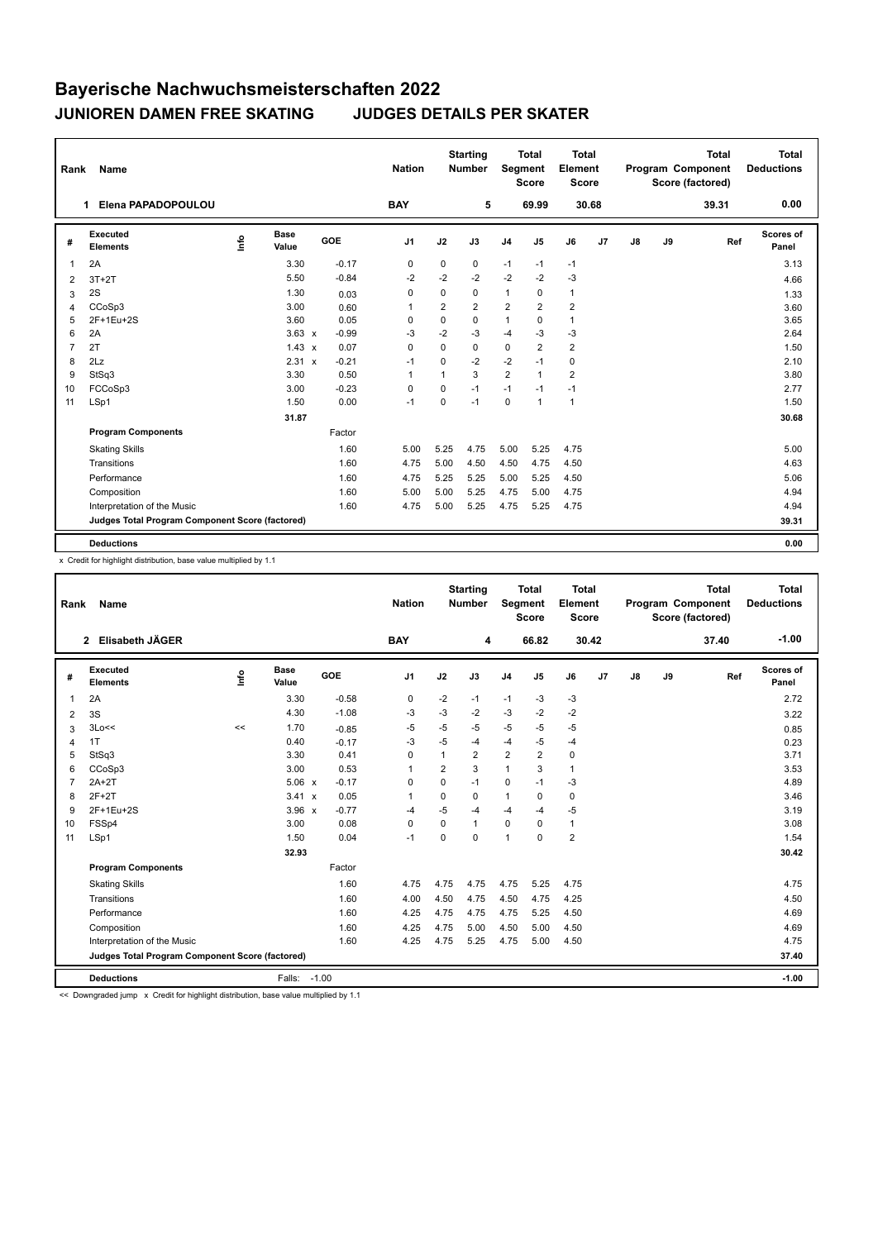## **Bayerische Nachwuchsmeisterschaften 2022 JUNIOREN DAMEN FREE SKATING JUDGES DETAILS PER SKATER**

| Rank           | <b>Name</b>                                     |      |                      |              |         | <b>Nation</b>  |              | <b>Starting</b><br><b>Number</b> | Segment        | <b>Total</b><br><b>Score</b> | <b>Total</b><br>Element<br><b>Score</b> |                |               |    | <b>Total</b><br>Program Component<br>Score (factored) | Total<br><b>Deductions</b> |
|----------------|-------------------------------------------------|------|----------------------|--------------|---------|----------------|--------------|----------------------------------|----------------|------------------------------|-----------------------------------------|----------------|---------------|----|-------------------------------------------------------|----------------------------|
|                | Elena PAPADOPOULOU<br>1                         |      |                      |              |         | <b>BAY</b>     |              | 5                                |                | 69.99                        |                                         | 30.68          |               |    | 39.31                                                 | 0.00                       |
| #              | Executed<br><b>Elements</b>                     | lnfo | <b>Base</b><br>Value |              | GOE     | J <sub>1</sub> | J2           | J3                               | J <sub>4</sub> | J <sub>5</sub>               | J6                                      | J <sub>7</sub> | $\mathsf{J}8$ | J9 | Ref                                                   | Scores of<br>Panel         |
| $\overline{1}$ | 2A                                              |      | 3.30                 |              | $-0.17$ | $\mathbf 0$    | 0            | 0                                | $-1$           | $-1$                         | $-1$                                    |                |               |    |                                                       | 3.13                       |
| 2              | $3T+2T$                                         |      | 5.50                 |              | $-0.84$ | $-2$           | $-2$         | $-2$                             | $-2$           | $-2$                         | $-3$                                    |                |               |    |                                                       | 4.66                       |
| 3              | 2S                                              |      | 1.30                 |              | 0.03    | 0              | 0            | 0                                | $\mathbf{1}$   | 0                            | $\mathbf{1}$                            |                |               |    |                                                       | 1.33                       |
| $\overline{4}$ | CCoSp3                                          |      | 3.00                 |              | 0.60    | $\overline{1}$ | 2            | $\overline{2}$                   | $\overline{2}$ | $\overline{2}$               | $\overline{2}$                          |                |               |    |                                                       | 3.60                       |
| 5              | 2F+1Eu+2S                                       |      | 3.60                 |              | 0.05    | $\Omega$       | $\mathbf 0$  | $\Omega$                         | $\mathbf{1}$   | $\Omega$                     | $\mathbf{1}$                            |                |               |    |                                                       | 3.65                       |
| 6              | 2A                                              |      | $3.63 \times$        |              | $-0.99$ | -3             | $-2$         | $-3$                             | $-4$           | $-3$                         | $-3$                                    |                |               |    |                                                       | 2.64                       |
| $\overline{7}$ | 2T                                              |      | $1.43 \times$        |              | 0.07    | $\Omega$       | $\Omega$     | 0                                | $\mathbf 0$    | 2                            | $\overline{2}$                          |                |               |    |                                                       | 1.50                       |
| 8              | 2Lz                                             |      | 2.31                 | $\mathsf{x}$ | $-0.21$ | $-1$           | 0            | $-2$                             | $-2$           | $-1$                         | 0                                       |                |               |    |                                                       | 2.10                       |
| 9              | StSq3                                           |      | 3.30                 |              | 0.50    | $\overline{1}$ | $\mathbf{1}$ | 3                                | $\overline{2}$ | $\mathbf{1}$                 | $\overline{2}$                          |                |               |    |                                                       | 3.80                       |
| 10             | FCCoSp3                                         |      | 3.00                 |              | $-0.23$ | 0              | 0            | $-1$                             | $-1$           | $-1$                         | $-1$                                    |                |               |    |                                                       | 2.77                       |
| 11             | LSp1                                            |      | 1.50                 |              | 0.00    | $-1$           | 0            | $-1$                             | $\mathbf 0$    | $\mathbf{1}$                 | 1                                       |                |               |    |                                                       | 1.50                       |
|                |                                                 |      | 31.87                |              |         |                |              |                                  |                |                              |                                         |                |               |    |                                                       | 30.68                      |
|                | <b>Program Components</b>                       |      |                      |              | Factor  |                |              |                                  |                |                              |                                         |                |               |    |                                                       |                            |
|                | <b>Skating Skills</b>                           |      |                      |              | 1.60    | 5.00           | 5.25         | 4.75                             | 5.00           | 5.25                         | 4.75                                    |                |               |    |                                                       | 5.00                       |
|                | Transitions                                     |      |                      |              | 1.60    | 4.75           | 5.00         | 4.50                             | 4.50           | 4.75                         | 4.50                                    |                |               |    |                                                       | 4.63                       |
|                | Performance                                     |      |                      |              | 1.60    | 4.75           | 5.25         | 5.25                             | 5.00           | 5.25                         | 4.50                                    |                |               |    |                                                       | 5.06                       |
|                | Composition                                     |      |                      |              | 1.60    | 5.00           | 5.00         | 5.25                             | 4.75           | 5.00                         | 4.75                                    |                |               |    |                                                       | 4.94                       |
|                | Interpretation of the Music                     |      |                      |              | 1.60    | 4.75           | 5.00         | 5.25                             | 4.75           | 5.25                         | 4.75                                    |                |               |    |                                                       | 4.94                       |
|                | Judges Total Program Component Score (factored) |      |                      |              |         |                |              |                                  |                |                              |                                         |                |               |    |                                                       | 39.31                      |
|                | <b>Deductions</b>                               |      |                      |              |         |                |              |                                  |                |                              |                                         |                |               |    |                                                       | 0.00                       |

x Credit for highlight distribution, base value multiplied by 1.1

| Rank           | Name                                            |                           |         | <b>Nation</b>  |                | <b>Starting</b><br><b>Number</b> | Segment        | <b>Total</b><br><b>Score</b> | <b>Total</b><br>Element<br><b>Score</b> |       |    |    | <b>Total</b><br>Program Component<br>Score (factored) | <b>Total</b><br><b>Deductions</b> |
|----------------|-------------------------------------------------|---------------------------|---------|----------------|----------------|----------------------------------|----------------|------------------------------|-----------------------------------------|-------|----|----|-------------------------------------------------------|-----------------------------------|
|                | Elisabeth JÄGER<br>$\mathbf{2}$                 |                           |         | <b>BAY</b>     |                | 4                                |                | 66.82                        |                                         | 30.42 |    |    | 37.40                                                 | $-1.00$                           |
| #              | Executed<br><b>Elements</b>                     | <b>Base</b><br>۴<br>Value | GOE     | J <sub>1</sub> | J2             | J3                               | J <sub>4</sub> | J5                           | J6                                      | J7    | J8 | J9 | Ref                                                   | Scores of<br>Panel                |
| 1              | 2A                                              | 3.30                      | $-0.58$ | 0              | $-2$           | $-1$                             | $-1$           | -3                           | $-3$                                    |       |    |    |                                                       | 2.72                              |
| 2              | 3S                                              | 4.30                      | $-1.08$ | $-3$           | $-3$           | $-2$                             | $-3$           | $-2$                         | $-2$                                    |       |    |    |                                                       | 3.22                              |
| 3              | 3Lo<<                                           | 1.70<br><<                | $-0.85$ | $-5$           | $-5$           | $-5$                             | $-5$           | $-5$                         | $-5$                                    |       |    |    |                                                       | 0.85                              |
| $\overline{4}$ | 1T                                              | 0.40                      | $-0.17$ | $-3$           | $-5$           | -4                               | $-4$           | $-5$                         | $-4$                                    |       |    |    |                                                       | 0.23                              |
| 5              | StSq3                                           | 3.30                      | 0.41    | 0              | $\mathbf{1}$   | 2                                | 2              | $\overline{2}$               | $\pmb{0}$                               |       |    |    |                                                       | 3.71                              |
| 6              | CCoSp3                                          | 3.00                      | 0.53    | 1              | $\overline{2}$ | 3                                | $\mathbf{1}$   | 3                            | $\mathbf{1}$                            |       |    |    |                                                       | 3.53                              |
|                | $2A+2T$                                         | $5.06 \times$             | $-0.17$ | 0              | $\Omega$       | $-1$                             | 0              | $-1$                         | -3                                      |       |    |    |                                                       | 4.89                              |
| 8              | $2F+2T$                                         | 3.41 x                    | 0.05    | 1              | $\Omega$       | 0                                | $\mathbf{1}$   | 0                            | 0                                       |       |    |    |                                                       | 3.46                              |
| 9              | 2F+1Eu+2S                                       | $3.96 \times$             | $-0.77$ | $-4$           | $-5$           | -4                               | $-4$           | $-4$                         | -5                                      |       |    |    |                                                       | 3.19                              |
| 10             | FSSp4                                           | 3.00                      | 0.08    | 0              | 0              | $\mathbf{1}$                     | $\mathbf 0$    | 0                            | $\mathbf{1}$                            |       |    |    |                                                       | 3.08                              |
| 11             | LSp1                                            | 1.50                      | 0.04    | $-1$           | $\Omega$       | $\Omega$                         | $\mathbf{1}$   | $\Omega$                     | $\overline{2}$                          |       |    |    |                                                       | 1.54                              |
|                |                                                 | 32.93                     |         |                |                |                                  |                |                              |                                         |       |    |    |                                                       | 30.42                             |
|                | <b>Program Components</b>                       |                           | Factor  |                |                |                                  |                |                              |                                         |       |    |    |                                                       |                                   |
|                | <b>Skating Skills</b>                           |                           | 1.60    | 4.75           | 4.75           | 4.75                             | 4.75           | 5.25                         | 4.75                                    |       |    |    |                                                       | 4.75                              |
|                | Transitions                                     |                           | 1.60    | 4.00           | 4.50           | 4.75                             | 4.50           | 4.75                         | 4.25                                    |       |    |    |                                                       | 4.50                              |
|                | Performance                                     |                           | 1.60    | 4.25           | 4.75           | 4.75                             | 4.75           | 5.25                         | 4.50                                    |       |    |    |                                                       | 4.69                              |
|                | Composition                                     |                           | 1.60    | 4.25           | 4.75           | 5.00                             | 4.50           | 5.00                         | 4.50                                    |       |    |    |                                                       | 4.69                              |
|                | Interpretation of the Music                     |                           | 1.60    | 4.25           | 4.75           | 5.25                             | 4.75           | 5.00                         | 4.50                                    |       |    |    |                                                       | 4.75                              |
|                | Judges Total Program Component Score (factored) |                           |         |                |                |                                  |                |                              |                                         |       |    |    |                                                       | 37.40                             |
|                | <b>Deductions</b>                               | Falls:                    | $-1.00$ |                |                |                                  |                |                              |                                         |       |    |    |                                                       | $-1.00$                           |

<< Downgraded jump x Credit for highlight distribution, base value multiplied by 1.1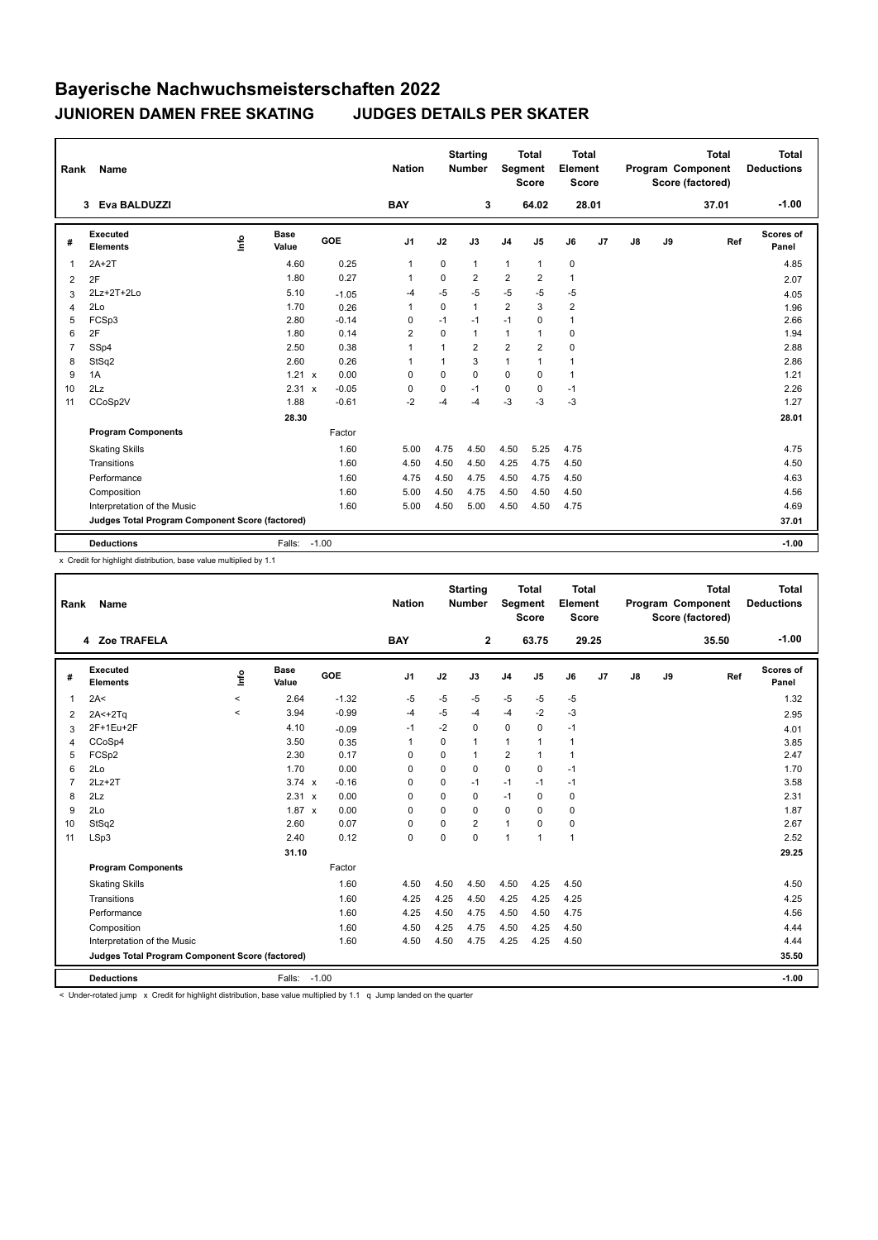## **Bayerische Nachwuchsmeisterschaften 2022 JUNIOREN DAMEN FREE SKATING JUDGES DETAILS PER SKATER**

| Rank           | <b>Name</b>                                     |      |                      |                                      | <b>Nation</b>  |             | <b>Starting</b><br><b>Number</b> | Segment        | <b>Total</b><br><b>Score</b> | <b>Total</b><br>Element<br><b>Score</b> |                |               |    | Total<br>Program Component<br>Score (factored) | Total<br><b>Deductions</b> |
|----------------|-------------------------------------------------|------|----------------------|--------------------------------------|----------------|-------------|----------------------------------|----------------|------------------------------|-----------------------------------------|----------------|---------------|----|------------------------------------------------|----------------------------|
|                | Eva BALDUZZI<br>3                               |      |                      |                                      | <b>BAY</b>     |             | 3                                |                | 64.02                        | 28.01                                   |                |               |    | 37.01                                          | $-1.00$                    |
| #              | Executed<br><b>Elements</b>                     | lnfo | <b>Base</b><br>Value | <b>GOE</b>                           | J <sub>1</sub> | J2          | J3                               | J <sub>4</sub> | J <sub>5</sub>               | J6                                      | J <sub>7</sub> | $\mathsf{J}8$ | J9 | Ref                                            | <b>Scores of</b><br>Panel  |
| $\overline{1}$ | $2A+2T$                                         |      | 4.60                 | 0.25                                 | $\mathbf{1}$   | 0           | 1                                | $\mathbf{1}$   | $\mathbf{1}$                 | $\mathbf 0$                             |                |               |    |                                                | 4.85                       |
| 2              | 2F                                              |      | 1.80                 | 0.27                                 | -1             | 0           | 2                                | $\overline{2}$ | 2                            | 1                                       |                |               |    |                                                | 2.07                       |
| 3              | 2Lz+2T+2Lo                                      |      | 5.10                 | $-1.05$                              | $-4$           | $-5$        | $-5$                             | $-5$           | $-5$                         | $-5$                                    |                |               |    |                                                | 4.05                       |
| 4              | 2Lo                                             |      | 1.70                 | 0.26                                 | $\mathbf 1$    | $\Omega$    | 1                                | $\overline{2}$ | 3                            | $\overline{2}$                          |                |               |    |                                                | 1.96                       |
| 5              | FCSp3                                           |      | 2.80                 | $-0.14$                              | 0              | $-1$        | $-1$                             | $-1$           | 0                            | $\mathbf{1}$                            |                |               |    |                                                | 2.66                       |
| 6              | 2F                                              |      | 1.80                 | 0.14                                 | 2              | $\Omega$    | $\mathbf{1}$                     | $\mathbf{1}$   | $\mathbf{1}$                 | 0                                       |                |               |    |                                                | 1.94                       |
| $\overline{7}$ | SSp4                                            |      | 2.50                 | 0.38                                 | $\mathbf{1}$   | 1           | $\overline{2}$                   | $\overline{2}$ | $\overline{2}$               | 0                                       |                |               |    |                                                | 2.88                       |
| 8              | StSq2                                           |      | 2.60                 | 0.26                                 | $\mathbf 1$    | 1           | 3                                | $\mathbf{1}$   | $\mathbf{1}$                 | 1                                       |                |               |    |                                                | 2.86                       |
| 9              | 1A                                              |      | 1.21 x               | 0.00                                 | 0              | 0           | 0                                | 0              | 0                            | $\mathbf{1}$                            |                |               |    |                                                | 1.21                       |
| 10             | 2Lz                                             |      | 2.31                 | $-0.05$<br>$\boldsymbol{\mathsf{x}}$ | 0              | $\mathbf 0$ | $-1$                             | $\mathbf 0$    | $\Omega$                     | $-1$                                    |                |               |    |                                                | 2.26                       |
| 11             | CCoSp2V                                         |      | 1.88                 | $-0.61$                              | $-2$           | $-4$        | $-4$                             | $-3$           | $-3$                         | $-3$                                    |                |               |    |                                                | 1.27                       |
|                |                                                 |      | 28.30                |                                      |                |             |                                  |                |                              |                                         |                |               |    |                                                | 28.01                      |
|                | <b>Program Components</b>                       |      |                      | Factor                               |                |             |                                  |                |                              |                                         |                |               |    |                                                |                            |
|                | <b>Skating Skills</b>                           |      |                      | 1.60                                 | 5.00           | 4.75        | 4.50                             | 4.50           | 5.25                         | 4.75                                    |                |               |    |                                                | 4.75                       |
|                | Transitions                                     |      |                      | 1.60                                 | 4.50           | 4.50        | 4.50                             | 4.25           | 4.75                         | 4.50                                    |                |               |    |                                                | 4.50                       |
|                | Performance                                     |      |                      | 1.60                                 | 4.75           | 4.50        | 4.75                             | 4.50           | 4.75                         | 4.50                                    |                |               |    |                                                | 4.63                       |
|                | Composition                                     |      |                      | 1.60                                 | 5.00           | 4.50        | 4.75                             | 4.50           | 4.50                         | 4.50                                    |                |               |    |                                                | 4.56                       |
|                | Interpretation of the Music                     |      |                      | 1.60                                 | 5.00           | 4.50        | 5.00                             | 4.50           | 4.50                         | 4.75                                    |                |               |    |                                                | 4.69                       |
|                | Judges Total Program Component Score (factored) |      |                      |                                      |                |             |                                  |                |                              |                                         |                |               |    |                                                | 37.01                      |
|                | <b>Deductions</b>                               |      | Falls:               | $-1.00$                              |                |             |                                  |                |                              |                                         |                |               |    |                                                | $-1.00$                    |

x Credit for highlight distribution, base value multiplied by 1.1

| Rank | Name                                            |         |                      |         | <b>Nation</b> |             | <b>Starting</b><br><b>Number</b> |                | <b>Total</b><br>Segment<br><b>Score</b> | <b>Total</b><br>Element<br><b>Score</b> |       |    |    | <b>Total</b><br>Program Component<br>Score (factored) | <b>Total</b><br><b>Deductions</b> |
|------|-------------------------------------------------|---------|----------------------|---------|---------------|-------------|----------------------------------|----------------|-----------------------------------------|-----------------------------------------|-------|----|----|-------------------------------------------------------|-----------------------------------|
|      | 4 Zoe TRAFELA                                   |         |                      |         | <b>BAY</b>    |             | $\overline{2}$                   |                | 63.75                                   |                                         | 29.25 |    |    | 35.50                                                 | $-1.00$                           |
| #    | Executed<br><b>Elements</b>                     | ۴ů      | <b>Base</b><br>Value | GOE     | J1            | J2          | J3                               | J <sub>4</sub> | J5                                      | J6                                      | J7    | J8 | J9 | Ref                                                   | <b>Scores of</b><br>Panel         |
| 1    | 2A<                                             | $\prec$ | 2.64                 | $-1.32$ | $-5$          | $-5$        | $-5$                             | $-5$           | $-5$                                    | $-5$                                    |       |    |    |                                                       | 1.32                              |
| 2    | $2A < +2Tq$                                     | $\prec$ | 3.94                 | $-0.99$ | $-4$          | $-5$        | $-4$                             | $-4$           | $-2$                                    | $-3$                                    |       |    |    |                                                       | 2.95                              |
| 3    | 2F+1Eu+2F                                       |         | 4.10                 | $-0.09$ | $-1$          | $-2$        | 0                                | 0              | 0                                       | $-1$                                    |       |    |    |                                                       | 4.01                              |
| 4    | CCoSp4                                          |         | 3.50                 | 0.35    | 1             | 0           | 1                                | $\mathbf{1}$   | 1                                       | $\mathbf{1}$                            |       |    |    |                                                       | 3.85                              |
| 5    | FCSp2                                           |         | 2.30                 | 0.17    | $\mathbf 0$   | $\mathbf 0$ | 1                                | $\overline{2}$ | 1                                       | $\overline{1}$                          |       |    |    |                                                       | 2.47                              |
| 6    | 2Lo                                             |         | 1.70                 | 0.00    | $\Omega$      | $\Omega$    | 0                                | $\Omega$       | $\Omega$                                | $-1$                                    |       |    |    |                                                       | 1.70                              |
|      | $2Lz + 2T$                                      |         | $3.74 \times$        | $-0.16$ | $\Omega$      | 0           | $-1$                             | $-1$           | $-1$                                    | $-1$                                    |       |    |    |                                                       | 3.58                              |
| 8    | 2Lz                                             |         | $2.31 \times$        | 0.00    | $\Omega$      | $\Omega$    | 0                                | $-1$           | $\Omega$                                | 0                                       |       |    |    |                                                       | 2.31                              |
| 9    | 2Lo                                             |         | $1.87 \times$        | 0.00    | $\Omega$      | $\Omega$    | 0                                | $\mathbf 0$    | $\Omega$                                | $\mathbf 0$                             |       |    |    |                                                       | 1.87                              |
| 10   | StSq2                                           |         | 2.60                 | 0.07    | $\Omega$      | $\Omega$    | $\overline{2}$                   | $\mathbf{1}$   | $\Omega$                                | $\mathbf 0$                             |       |    |    |                                                       | 2.67                              |
| 11   | LSp3                                            |         | 2.40                 | 0.12    | $\mathbf 0$   | $\Omega$    | $\Omega$                         | $\mathbf{1}$   | 1                                       | $\overline{1}$                          |       |    |    |                                                       | 2.52                              |
|      |                                                 |         | 31.10                |         |               |             |                                  |                |                                         |                                         |       |    |    |                                                       | 29.25                             |
|      | <b>Program Components</b>                       |         |                      | Factor  |               |             |                                  |                |                                         |                                         |       |    |    |                                                       |                                   |
|      | <b>Skating Skills</b>                           |         |                      | 1.60    | 4.50          | 4.50        | 4.50                             | 4.50           | 4.25                                    | 4.50                                    |       |    |    |                                                       | 4.50                              |
|      | Transitions                                     |         |                      | 1.60    | 4.25          | 4.25        | 4.50                             | 4.25           | 4.25                                    | 4.25                                    |       |    |    |                                                       | 4.25                              |
|      | Performance                                     |         |                      | 1.60    | 4.25          | 4.50        | 4.75                             | 4.50           | 4.50                                    | 4.75                                    |       |    |    |                                                       | 4.56                              |
|      | Composition                                     |         |                      | 1.60    | 4.50          | 4.25        | 4.75                             | 4.50           | 4.25                                    | 4.50                                    |       |    |    |                                                       | 4.44                              |
|      | Interpretation of the Music                     |         |                      | 1.60    | 4.50          | 4.50        | 4.75                             | 4.25           | 4.25                                    | 4.50                                    |       |    |    |                                                       | 4.44                              |
|      | Judges Total Program Component Score (factored) |         |                      |         |               |             |                                  |                |                                         |                                         |       |    |    |                                                       | 35.50                             |
|      | <b>Deductions</b>                               |         | Falls: -1.00         |         |               |             |                                  |                |                                         |                                         |       |    |    |                                                       | $-1.00$                           |

< Under-rotated jump x Credit for highlight distribution, base value multiplied by 1.1 q Jump landed on the quarter